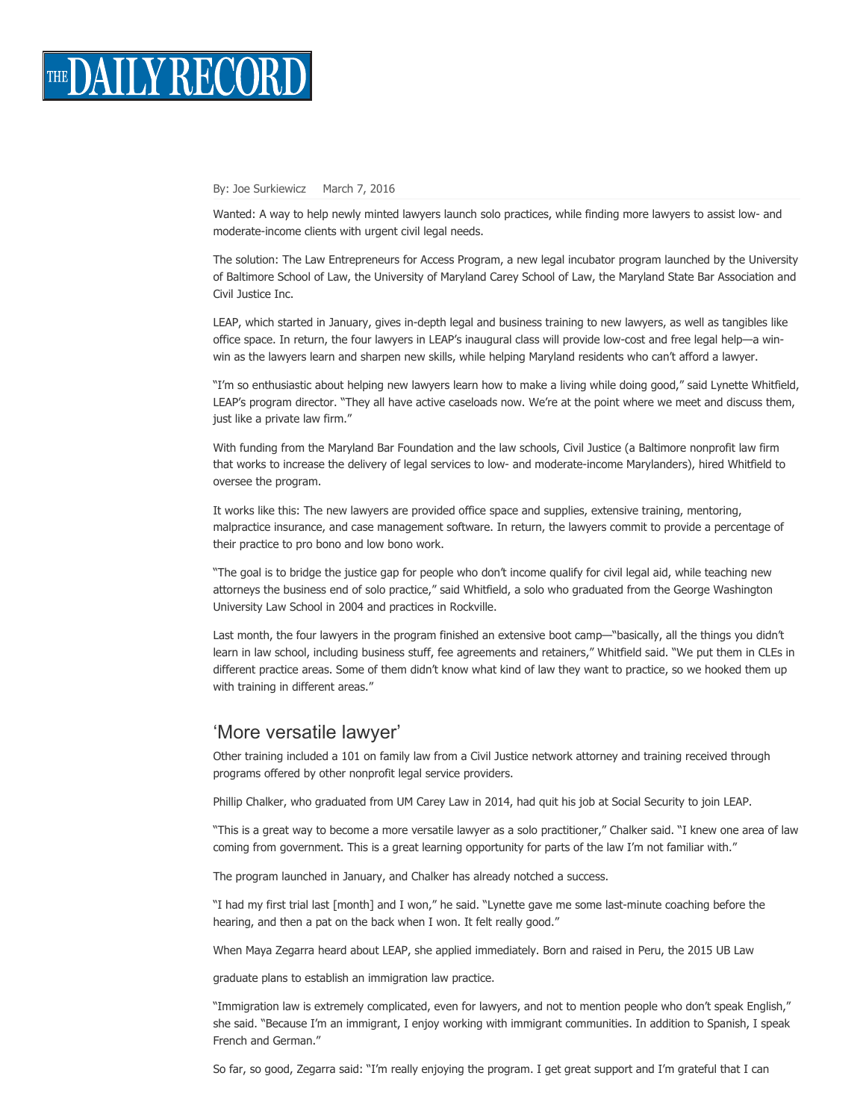

## By: Joe [Surkiewicz](http://thedailyrecord.com/author/joesurkiewicz/) March 7, 2016

Wanted: A way to help newly minted lawyers launch solo practices, while finding more lawyers to assist low- and moderate-income clients with urgent civil legal needs.

The solution: The Law Entrepreneurs for Access Program, a new legal incubator program launched by the University of Baltimore School of Law, the University of Maryland Carey School of Law, the Maryland State Bar Association and Civil Justice Inc.

LEAP, which started in January, gives in-depth legal and business training to new lawyers, as well as tangibles like office space. In return, the four lawyers in LEAP's inaugural class will provide lowcost and free legal help—a winwin as the lawyers learn and sharpen new skills, while helping Maryland residents who can't afford a lawyer.

"I'm so enthusiastic about helping new lawyers learn how to make a living while doing good," said Lynette Whitfield, LEAP's program director. "They all have active caseloads now. We're at the point where we meet and discuss them, just like a private law firm."

With funding from the Maryland Bar Foundation and the law schools, Civil Justice (a Baltimore nonprofit law firm that works to increase the delivery of legal services to low- and moderate-income Marylanders), hired Whitfield to oversee the program.

It works like this: The new lawyers are provided office space and supplies, extensive training, mentoring, malpractice insurance, and case management software. In return, the lawyers commit to provide a percentage of their practice to pro bono and low bono work.

"The goal is to bridge the justice gap for people who don't income qualify for civil legal aid, while teaching new attorneys the business end of solo practice," said Whitfield, a solo who graduated from the George Washington University Law School in 2004 and practices in Rockville.

Last month, the four lawyers in the program finished an extensive boot camp—"basically, all the things you didn't learn in law school, including business stuff, fee agreements and retainers," Whitfield said. "We put them in CLEs in different practice areas. Some of them didn't know what kind of law they want to practice, so we hooked them up with training in different areas."

## 'More versatile lawyer'

Other training included a 101 on family law from a Civil Justice network attorney and training received through programs offered by other nonprofit legal service providers.

Phillip Chalker, who graduated from UM Carey Law in 2014, had quit his job at Social Security to join LEAP.

"This is a great way to become a more versatile lawyer as a solo practitioner," Chalker said. "I knew one area of law coming from government. This is a great learning opportunity for parts of the law I'm not familiar with."

The program launched in January, and Chalker has already notched a success.

"I had my first trial last [month] and I won," he said. "Lynette gave me some last-minute coaching before the hearing, and then a pat on the back when I won. It felt really good."

When Maya Zegarra heard about LEAP, she applied immediately. Born and raised in Peru, the 2015 UB Law

graduate plans to establish an immigration law practice.

"Immigration law is extremely complicated, even for lawyers, and not to mention people who don't speak English," she said. "Because I'm an immigrant, I enjoy working with immigrant communities. In addition to Spanish, I speak French and German."

So far, so good, Zegarra said: "I'm really enjoying the program. I get great support and I'm grateful that I can